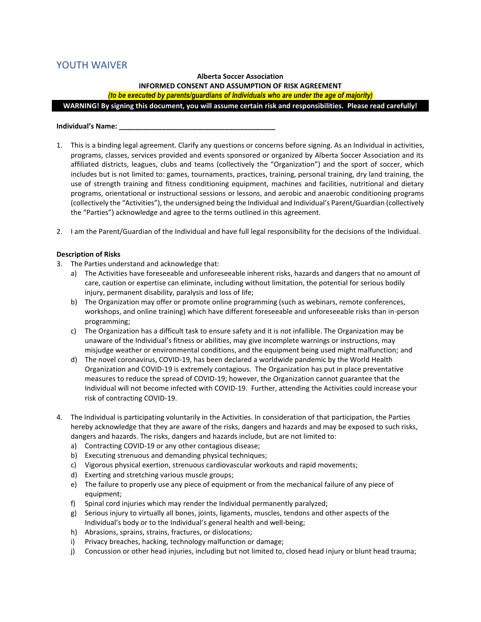# YOUTH WAIVER

# **Alberta Soccer Association INFORMED CONSENT AND ASSUMPTION OF RISK AGREEMENT**

*(to be executed by parents/guardians of Individuals who are under the age of majority)*

**WARNING! By signing this document, you will assume certain risk and responsibilities. Please read carefully!**

# **Individual's Name: \_\_\_\_\_\_\_\_\_\_\_\_\_\_\_\_\_\_\_\_\_\_\_\_\_\_\_\_\_\_\_\_\_\_\_\_\_\_\_\_**

- 1. This is a binding legal agreement. Clarify any questions or concerns before signing. As an Individual in activities, programs, classes, services provided and events sponsored or organized by Alberta Soccer Association and its affiliated districts, leagues, clubs and teams (collectively the "Organization") and the sport of soccer, which includes but is not limited to: games, tournaments, practices, training, personal training, dry land training, the use of strength training and fitness conditioning equipment, machines and facilities, nutritional and dietary programs, orientational or instructional sessions or lessons, and aerobic and anaerobic conditioning programs (collectively the "Activities"), the undersigned being the Individual and Individual's Parent/Guardian (collectively the "Parties") acknowledge and agree to the terms outlined in this agreement.
- 2. I am the Parent/Guardian of the Individual and have full legal responsibility for the decisions of the Individual.

# **Description of Risks**

- 3. The Parties understand and acknowledge that:
	- a) The Activities have foreseeable and unforeseeable inherent risks, hazards and dangers that no amount of care, caution or expertise can eliminate, including without limitation, the potential for serious bodily injury, permanent disability, paralysis and loss of life;
	- b) The Organization may offer or promote online programming (such as webinars, remote conferences, workshops, and online training) which have different foreseeable and unforeseeable risks than in-person programming;
	- c) The Organization has a difficult task to ensure safety and it is not infallible. The Organization may be unaware of the Individual's fitness or abilities, may give incomplete warnings or instructions, may misjudge weather or environmental conditions, and the equipment being used might malfunction; and
	- d) The novel coronavirus, COVID-19, has been declared a worldwide pandemic by the World Health Organization and COVID-19 is extremely contagious. The Organization has put in place preventative measures to reduce the spread of COVID-19; however, the Organization cannot guarantee that the Individual will not become infected with COVID-19. Further, attending the Activities could increase your risk of contracting COVID-19.
- 4. The Individual is participating voluntarily in the Activities. In consideration of that participation, the Parties hereby acknowledge that they are aware of the risks, dangers and hazards and may be exposed to such risks, dangers and hazards. The risks, dangers and hazards include, but are not limited to:
	- a) Contracting COVID-19 or any other contagious disease;
	- b) Executing strenuous and demanding physical techniques;
	- c) Vigorous physical exertion, strenuous cardiovascular workouts and rapid movements;
	- d) Exerting and stretching various muscle groups;
	- e) The failure to properly use any piece of equipment or from the mechanical failure of any piece of equipment;
	- f) Spinal cord injuries which may render the Individual permanently paralyzed;
	- g) Serious injury to virtually all bones, joints, ligaments, muscles, tendons and other aspects of the Individual's body or to the Individual's general health and well-being;
	- h) Abrasions, sprains, strains, fractures, or dislocations;
	- i) Privacy breaches, hacking, technology malfunction or damage;
	- j) Concussion or other head injuries, including but not limited to, closed head injury or blunt head trauma;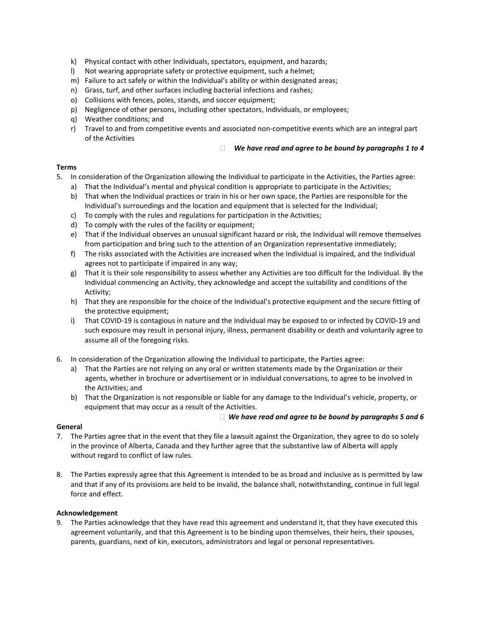- k) Physical contact with other Individuals, spectators, equipment, and hazards;
- l) Not wearing appropriate safety or protective equipment, such a helmet;
- m) Failure to act safely or within the Individual's ability or within designated areas;
- n) Grass, turf, and other surfaces including bacterial infections and rashes;
- o) Collisions with fences, poles, stands, and soccer equipment;
- p) Negligence of other persons, including other spectators, Individuals, or employees;
- q) Weather conditions; and
- r) Travel to and from competitive events and associated non-competitive events which are an integral part of the Activities

#### *We have read and agree to be bound by paragraphs 1 to 4*

# **Terms**

- 5. In consideration of the Organization allowing the Individual to participate in the Activities, the Parties agree:
	- a) That the Individual's mental and physical condition is appropriate to participate in the Activities;
	- b) That when the Individual practices or train in his or her own space, the Parties are responsible for the Individual's surroundings and the location and equipment that is selected for the Individual;
	- c) To comply with the rules and regulations for participation in the Activities;
	- d) To comply with the rules of the facility or equipment;
	- e) That if the Individual observes an unusual significant hazard or risk, the Individual will remove themselves from participation and bring such to the attention of an Organization representative immediately;
	- f) The risks associated with the Activities are increased when the Individual is impaired, and the Individual agrees not to participate if impaired in any way;
	- g) That it is their sole responsibility to assess whether any Activities are too difficult for the Individual. By the Individual commencing an Activity, they acknowledge and accept the suitability and conditions of the Activity;
	- h) That they are responsible for the choice of the Individual's protective equipment and the secure fitting of the protective equipment;
	- i) That COVID-19 is contagious in nature and the Individual may be exposed to or infected by COVID-19 and such exposure may result in personal injury, illness, permanent disability or death and voluntarily agree to assume all of the foregoing risks.
- 6. In consideration of the Organization allowing the Individual to participate, the Parties agree:
	- a) That the Parties are not relying on any oral or written statements made by the Organization or their agents, whether in brochure or advertisement or in individual conversations, to agree to be involved in the Activities; and
	- b) That the Organization is not responsible or liable for any damage to the Individual's vehicle, property, or equipment that may occur as a result of the Activities.

## *We have read and agree to be bound by paragraphs 5 and 6*

## **General**

- 7. The Parties agree that in the event that they file a lawsuit against the Organization, they agree to do so solely in the province of Alberta, Canada and they further agree that the substantive law of Alberta will apply without regard to conflict of law rules.
- 8. The Parties expressly agree that this Agreement is intended to be as broad and inclusive as is permitted by law and that if any of its provisions are held to be invalid, the balance shall, notwithstanding, continue in full legal force and effect.

## **Acknowledgement**

9. The Parties acknowledge that they have read this agreement and understand it, that they have executed this agreement voluntarily, and that this Agreement is to be binding upon themselves, their heirs, their spouses, parents, guardians, next of kin, executors, administrators and legal or personal representatives.